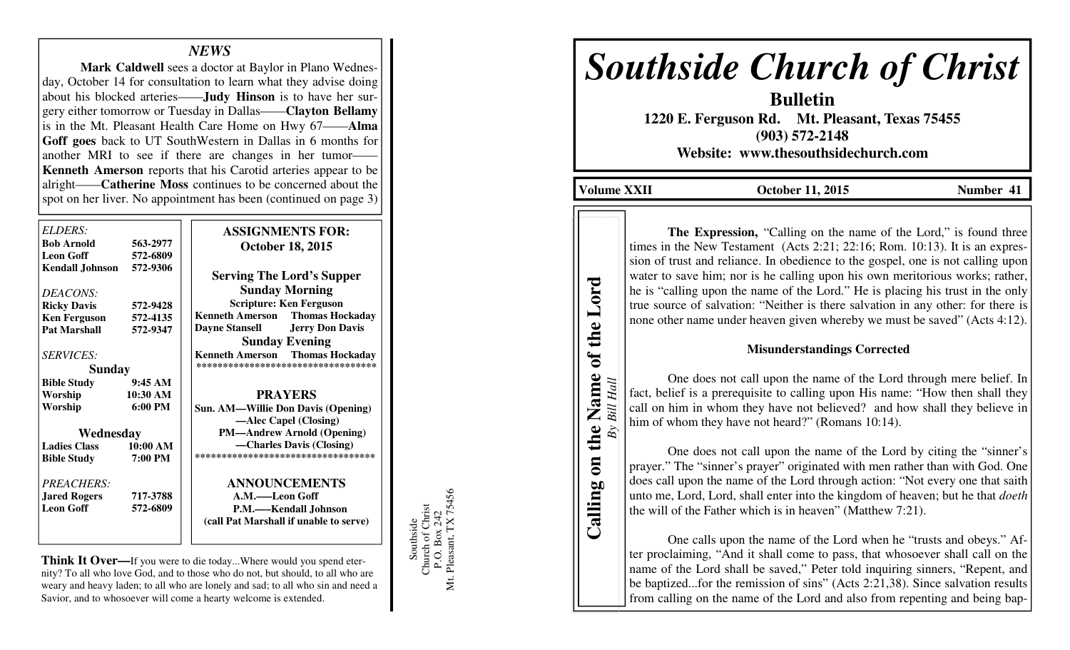## *NEWS*

  **Mark Caldwell** sees a doctor at Baylor in Plano Wednesday, October 14 for consultation to learn what they advise doing about his blocked arteries——**Judy Hinson** is to have her surgery either tomorrow or Tuesday in Dallas——**Clayton Bellamy**  is in the Mt. Pleasant Health Care Home on Hwy 67——**Alma Goff goes** back to UT SouthWestern in Dallas in 6 months for another MRI to see if there are changes in her tumor- **Kenneth Amerson** reports that his Carotid arteries appear to be alright——**Catherine Moss** continues to be concerned about the spot on her liver. No appointment has been (continued on page 3)

| ELDERS:                |                   | <b>ASSIGNMENTS FOR:</b>                          |
|------------------------|-------------------|--------------------------------------------------|
| <b>Bob Arnold</b>      | 563-2977          |                                                  |
| <b>Leon Goff</b>       | 572-6809          | <b>October 18, 2015</b>                          |
|                        |                   |                                                  |
| <b>Kendall Johnson</b> | 572-9306          | <b>Serving The Lord's Supper</b>                 |
| DEACONS:               |                   | <b>Sunday Morning</b>                            |
| <b>Ricky Davis</b>     | 572-9428          | <b>Scripture: Ken Ferguson</b>                   |
| <b>Ken Ferguson</b>    | 572-4135          | <b>Thomas Hockaday</b><br><b>Kenneth Amerson</b> |
| <b>Pat Marshall</b>    | 572-9347          | <b>Jerry Don Davis</b><br><b>Dayne Stansell</b>  |
|                        |                   | <b>Sunday Evening</b>                            |
| <b>SERVICES:</b>       |                   | <b>Thomas Hockaday</b><br><b>Kenneth Amerson</b> |
| <b>Sunday</b>          |                   | **********************************               |
| <b>Bible Study</b>     | 9:45AM            |                                                  |
| Worship                | 10:30 AM          | <b>PRAYERS</b>                                   |
| Worship                | $6:00 \text{ PM}$ | <b>Sun. AM—Willie Don Davis (Opening)</b>        |
|                        |                   | —Alec Capel (Closing)                            |
| Wednesday              |                   | <b>PM-Andrew Arnold (Opening)</b>                |
| <b>Ladies Class</b>    | 10:00 AM          | —Charles Davis (Closing)                         |
| <b>Bible Study</b>     | 7:00 PM           | ***********************************              |
| PREACHERS:             |                   | <b>ANNOUNCEMENTS</b>                             |
| <b>Jared Rogers</b>    | 717-3788          | A.M.-Leon Goff                                   |
| <b>Leon Goff</b>       | 572-6809          | P.M.—Kendall Johnson                             |
|                        |                   | (call Pat Marshall if unable to serve)           |
|                        |                   |                                                  |

**Think It Over—**If you were to die today...Where would you spend eternity? To all who love God, and to those who do not, but should, to all who are weary and heavy laden; to all who are lonely and sad; to all who sin and need a Savior, and to whosoever will come a hearty welcome is extended.

Southside<br>Church of Christ<br>P.O. Box 242<br>Mt. Pleasant, TX 75456 Mt. Pleasant, TX 75456 Church of Christ P.O. Box 242 Southside

# *Southside Church of Christ*

**Bulletin 1220 E. Ferguson Rd. Mt. Pleasant, Texas 75455 (903) 572-2148** 

**Website: www.thesouthsidechurch.com** 

**Volume XXII October 11, 2015** Number 41

**Calling on the Name of the Lord**  *By Bill Hall*

Calling

Bill Hall

 $By$ 

on the Name of the Lord

**The Expression, "Calling on the name of the Lord," is found three** times in the New Testament (Acts 2:21; 22:16; Rom. 10:13). It is an expression of trust and reliance. In obedience to the gospel, one is not calling upon water to save him; nor is he calling upon his own meritorious works; rather, he is "calling upon the name of the Lord." He is placing his trust in the only true source of salvation: "Neither is there salvation in any other: for there is none other name under heaven given whereby we must be saved" (Acts 4:12).

### **Misunderstandings Corrected**

 One does not call upon the name of the Lord through mere belief. In fact, belief is a prerequisite to calling upon His name: "How then shall they call on him in whom they have not believed? and how shall they believe in him of whom they have not heard?" (Romans 10:14).

 One does not call upon the name of the Lord by citing the "sinner's prayer." The "sinner's prayer" originated with men rather than with God. One does call upon the name of the Lord through action: "Not every one that saith unto me, Lord, Lord, shall enter into the kingdom of heaven; but he that *doeth*the will of the Father which is in heaven" (Matthew 7:21).

 One calls upon the name of the Lord when he "trusts and obeys." After proclaiming, "And it shall come to pass, that whosoever shall call on the name of the Lord shall be saved," Peter told inquiring sinners, "Repent, and be baptized...for the remission of sins" (Acts 2:21,38). Since salvation results from calling on the name of the Lord and also from repenting and being bap-